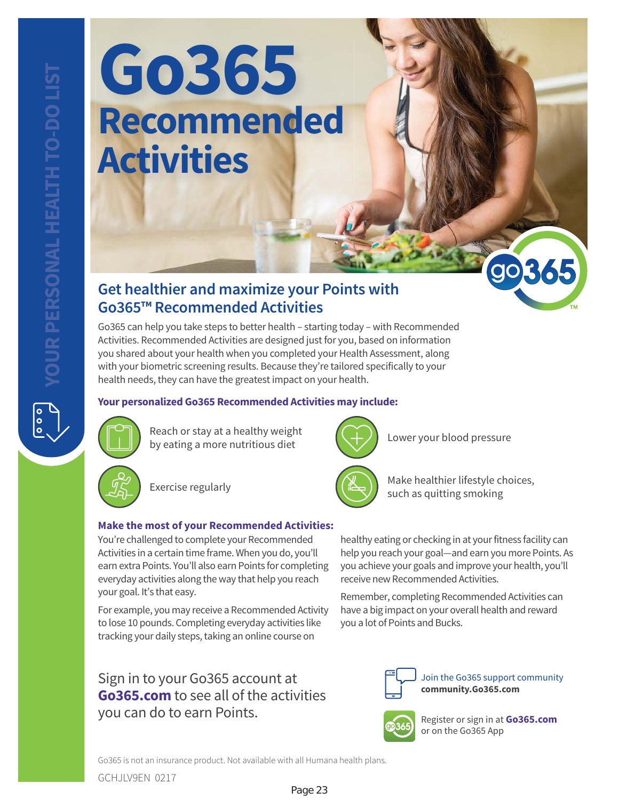$\frac{1}{\circ}$ 

# **Go365 Recommended Activities**

### **Get healthier and maximize your Points with Go365™ Recommended Activities**

Go365 can help you take steps to better health – starting today – with Recommended Activities. Recommended Activities are designed just for you, based on information you shared about your health when you completed your Health Assessment, along with your biometric screening results. Because they're tailored specifically to your health needs, they can have the greatest impact on your health.

### **Your personalized Go365 Recommended Activities may include:**



Reach or stay at a healthy weight by eating a more nutritious diet



Exercise regularly

### **Make the most of your Recommended Activities:**

You're challenged to complete your Recommended Activities in a certain time frame. When you do, you'll earn extra Points. You'll also earn Points for completing everyday activities along the way that help you reach your goal. It's that easy.

For example, you may receive a Recommended Activity to lose 10 pounds. Completing everyday activities like tracking your daily steps, taking an online course on

**community.Go365.com** Sign in to your Go365 account at **Go365.com** to see all of the activities you can do to earn Points. Register or sign in at **Go365.com**



Lower your blood pressure



Make healthier lifestyle choices, such as quitting smoking

healthy eating or checking in at your fitness facility can help you reach your goal—and earn you more Points. As you achieve your goals and improve your health, you'll receive new Recommended Activities.

Remember, completing Recommended Activities can have a big impact on your overall health and reward you a lot of Points and Bucks.



Join the Go365 support community



or on the Go365 App

Go365 is not an insurance product. Not available with all Humana health plans.

GCHJLV9EN 0217

### Page 23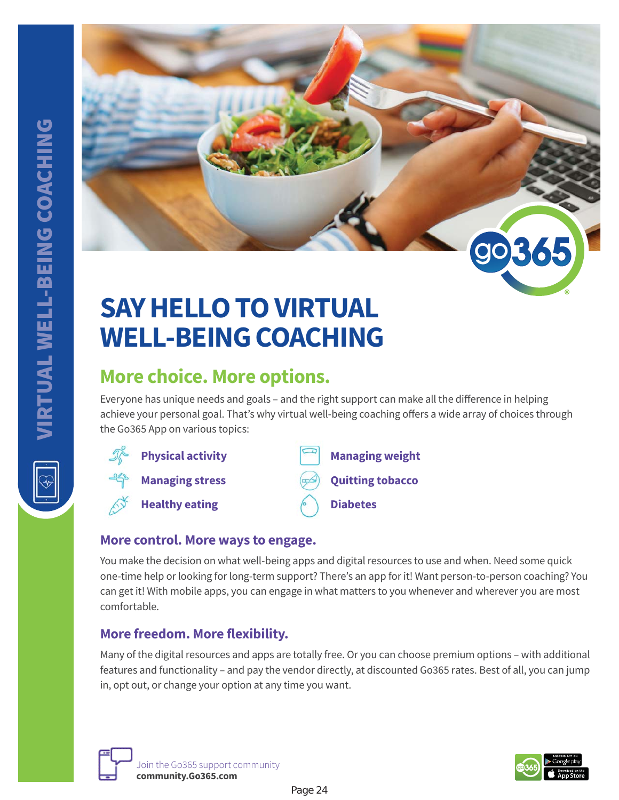

# **SAY HELLO TO VIRTUAL WELL-BEING COACHING**

# **More choice. More options.**

Everyone has unique needs and goals – and the right support can make all the difference in helping achieve your personal goal. That's why virtual well-being coaching offers a wide array of choices through the Go365 App on various topics:



### **More control. More ways to engage.**

You make the decision on what well-being apps and digital resources to use and when. Need some quick one-time help or looking for long-term support? There's an app for it! Want person-to-person coaching? You can get it! With mobile apps, you can engage in what matters to you whenever and wherever you are most comfortable.

### **More freedom. More flexibility.**

Many of the digital resources and apps are totally free. Or you can choose premium options – with additional features and functionality – and pay the vendor directly, at discounted Go365 rates. Best of all, you can jump in, opt out, or change your option at any time you want.



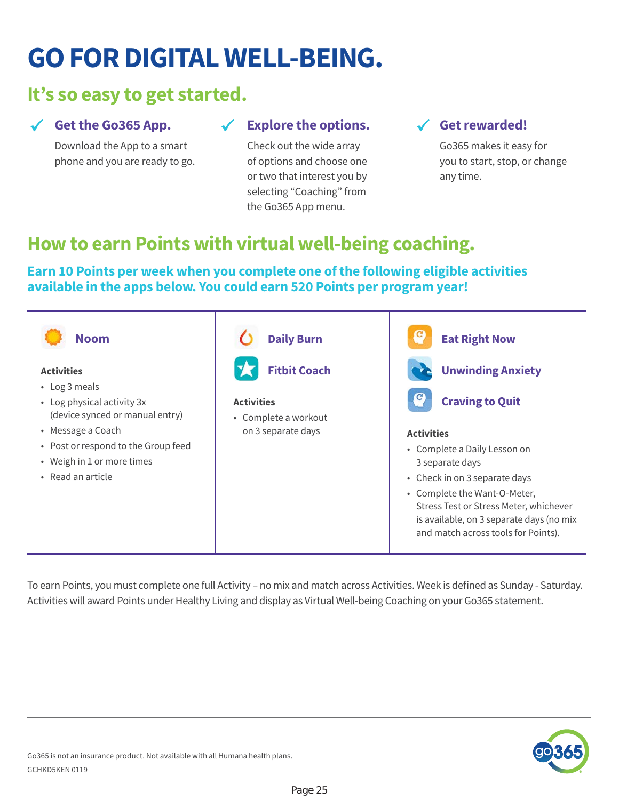# **GO FOR DIGITAL WELL-BEING.**

## **It's so easy to get started.**

### **Get the Go365 App.**

Download the App to a smart phone and you are ready to go.

### **Explore the options.**

Check out the wide array of options and choose one or two that interest you by selecting "Coaching" from the Go365 App menu.

### **Get rewarded!**

Go365 makes it easy for you to start, stop, or change any time.

# **How to earn Points with virtual well-being coaching.**

### **Earn 10 Points per week when you complete one of the following eligible activities available in the apps below. You could earn 520 Points per program year!**



To earn Points, you must complete one full Activity – no mix and match across Activities. Week is defined as Sunday - Saturday. Activities will award Points under Healthy Living and display as Virtual Well-being Coaching on your Go365 statement.

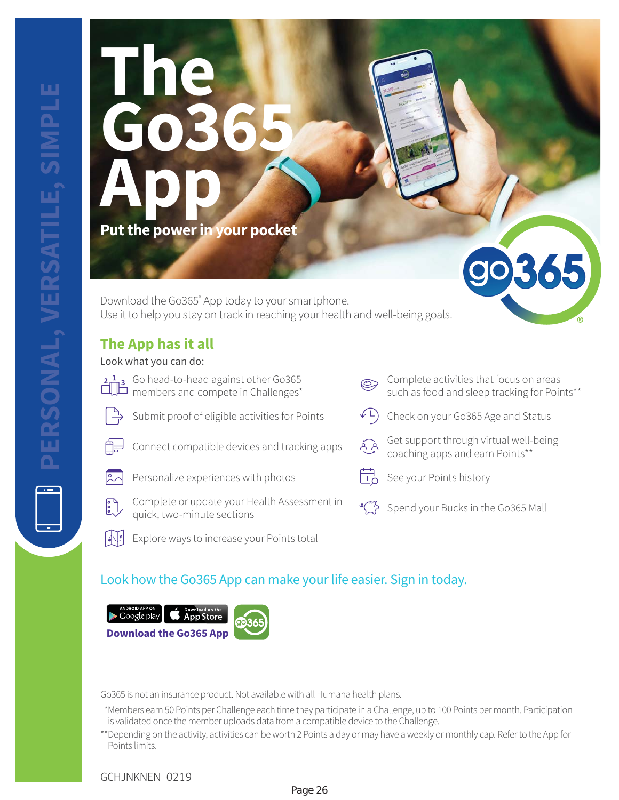# **The Go365 App Put the power in your pocket**

Download the Go365® App today to your smartphone. Use it to help you stay on track in reaching your health and well-being goals.

### **The App has it all**

### Look what you can do:

- Go head-to-head against other Go365 members and compete in Challenges\* Submit proof of eligible activities for Points  $\left( \begin{array}{cc} \downarrow L \end{array} \right)$  Check on your Go365 Age and Status
	-
- 
- Personalize experiences with photos  $\overline{10}$  See your Points history
	- Complete or update your Health Assessment in<br>quick, two-minute sections
- 不明 Explore ways to increase your Points total



30365

### Look how the Go365 App can make your life easier. Sign in today.



Go365 is not an insurance product. Not available with all Humana health plans.

- \* Members earn 50 Points per Challenge each time they participate in a Challenge, up to 100 Points per month. Participation is validated once the member uploads data from a compatible device to the Challenge.
- \*\* Depending on the activity, activities can be worth 2 Points a day or may have a weekly or monthly cap. Refer to the App for Points limits.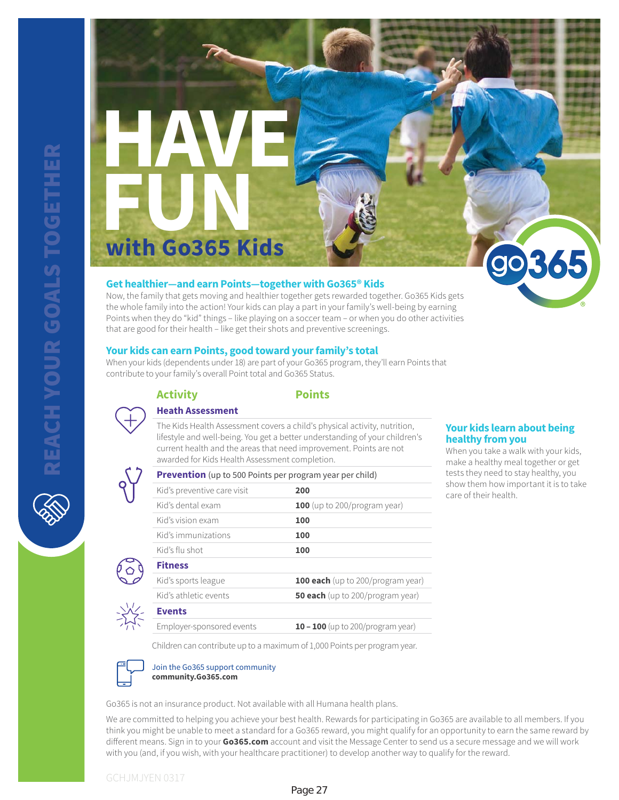**HAVE FUN with Go365 Kids**

### **Get healthier—and earn Points—together with Go365® Kids**

Now, the family that gets moving and healthier together gets rewarded together. Go365 Kids gets the whole family into the action! Your kids can play a part in your family's well-being by earning Points when they do "kid" things – like playing on a soccer team – or when you do other activities that are good for their health – like get their shots and preventive screenings.

### **Your kids can earn Points, good toward your family's total**

When your kids (dependents under 18) are part of your Go365 program, they'll earn Points that contribute to your family's overall Point total and Go365 Status.

**Prevention** (up to 500 Points per program year per child)



#### **Activity Points**

#### **Heath Assessment**

The Kids Health Assessment covers a child's physical activity, nutrition, lifestyle and well-being. You get a better understanding of your children's current health and the areas that need improvement. Points are not awarded for Kids Health Assessment completion.

| Kid's preventive care visit | 200                                      |
|-----------------------------|------------------------------------------|
| Kid's dental exam           | 100 (up to 200/program year)             |
| Kid's vision exam           | 100                                      |
| Kid's immunizations         | 100                                      |
| Kid's flu shot              | 100                                      |
| <b>Fitness</b>              |                                          |
| Kid's sports league         | <b>100 each</b> (up to 200/program year) |
| Kid's athletic events       | <b>50 each</b> (up to 200/program year)  |
| <b>Events</b>               |                                          |
| Employer-sponsored events   | 10 - 100 (up to 200/program year)        |

#### **Your kids learn about being healthy from you**

365

When you take a walk with your kids, make a healthy meal together or get tests they need to stay healthy, you show them how important it is to take care of their health.

Children can contribute up to a maximum of 1,000 Points per program year.



Join the Go365 support community **community.Go365.com**

Go365 is not an insurance product. Not available with all Humana health plans.

We are committed to helping you achieve your best health. Rewards for participating in Go365 are available to all members. If you think you might be unable to meet a standard for a Go365 reward, you might qualify for an opportunity to earn the same reward by different means. Sign in to your **Go365.com** account and visit the Message Center to send us a secure message and we will work with you (and, if you wish, with your healthcare practitioner) to develop another way to qualify for the reward.

### GCHJMJYEN 0317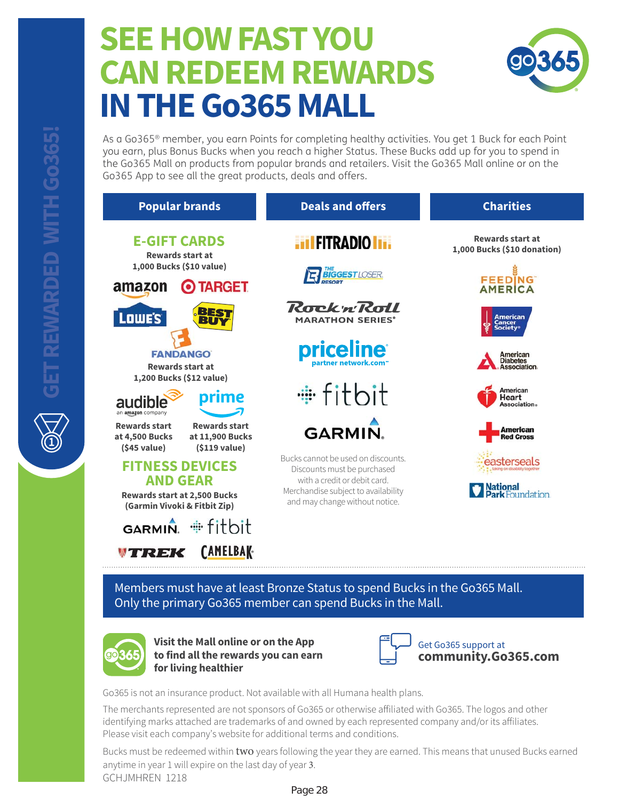# **SEE HOW FAST YOU CAN REDEEM REWARDS IN THE Go365 MALL**



As a Go365® member, you earn Points for completing healthy activities. You get 1 Buck for each Point you earn, plus Bonus Bucks when you reach a higher Status. These Bucks add up for you to spend in the Go365 Mall on products from popular brands and retailers. Visit the Go365 Mall online or on the Go365 App to see all the great products, deals and offers.

| <b>Popular brands</b>                                                                                            | <b>Deals and offers</b>                                                                                                                                                    | <b>Charities</b>                                       |
|------------------------------------------------------------------------------------------------------------------|----------------------------------------------------------------------------------------------------------------------------------------------------------------------------|--------------------------------------------------------|
| <b>E-GIFT CARDS</b><br><b>Rewards start at</b>                                                                   | <b>HIFITRADIO IT.</b>                                                                                                                                                      | <b>Rewards start at</b><br>1,000 Bucks (\$10 donation) |
| 1,000 Bucks (\$10 value)<br><b>TARGET</b><br>amazon                                                              | <b>BIGGESTLOSER.</b>                                                                                                                                                       | <b>FEEDING</b><br><b>AMERICA</b>                       |
| BES <sub>1</sub><br>BUY<br><b>Lowe's</b>                                                                         | RocknRoll<br><b>MARATHON SERIES®</b>                                                                                                                                       | American<br>Cancer<br>iociety                          |
| <b>FANDANGO</b><br><b>Rewards start at</b>                                                                       | <b>priceline</b><br>partner network.com <sup>-</sup>                                                                                                                       | American<br><b>Diabetes</b><br><b>Association</b>      |
| 1,200 Bucks (\$12 value)<br>prime<br>audible<br>an amazon company                                                | #fitbit                                                                                                                                                                    | American<br>Heart<br>Association.                      |
| <b>Rewards start</b><br><b>Rewards start</b><br>at 11,900 Bucks<br>at 4,500 Bucks<br>(545 value)<br>(5119 value) | GARMIN.                                                                                                                                                                    | American<br><b>Red Cross</b>                           |
| <b>FITNESS DEVICES</b><br><b>AND GEAR</b><br><b>Rewards start at 2,500 Bucks</b><br>(Garmin Vivoki & Fitbit Zip) | Bucks cannot be used on discounts.<br>Discounts must be purchased<br>with a credit or debit card.<br>Merchandise subject to availability<br>and may change without notice. | mdation                                                |
| #fitbit<br>GARMIN.                                                                                               |                                                                                                                                                                            |                                                        |
| <b>CAMELBAK-</b><br>REK                                                                                          |                                                                                                                                                                            |                                                        |

Members must have at least Bronze Status to spend Bucks in the Go365 Mall. Only the primary Go365 member can spend Bucks in the Mall.



**Visit the Mall online or on the App to find all the rewards you can earn for living healthier**



### Get Go365 support at **community.Go365.com**

Go365 is not an insurance product. Not available with all Humana health plans.

The merchants represented are not sponsors of Go365 or otherwise affiliated with Go365. The logos and other identifying marks attached are trademarks of and owned by each represented company and/or its affiliates. Please visit each company's website for additional terms and conditions.

Page 28

GCHJMHREN 1218 Bucks must be redeemed within two years following the year they are earned. This means that unused Bucks earned anytime in year  $1$  will expire on the last day of year  $3$ .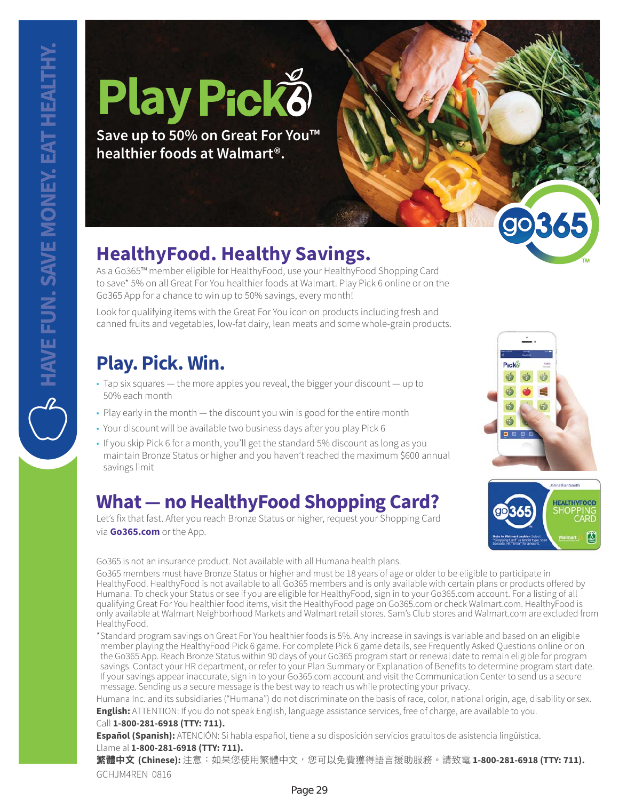# **Play**

**Save up to 50% on Great For You™ healthier foods at Walmart®.**

# **HealthyFood. Healthy Savings.**

As a Go365™ member eligible for HealthyFood, use your HealthyFood Shopping Card to save\* 5% on all Great For You healthier foods at Walmart. Play Pick 6 online or on the Go365 App for a chance to win up to 50% savings, every month!

Look for qualifying items with the Great For You icon on products including fresh and canned fruits and vegetables, low-fat dairy, lean meats and some whole-grain products.

# **Play. Pick. Win.**

- Tap six squares the more apples you reveal, the bigger your discount up to 50% each month
- Play early in the month the discount you win is good for the entire month
- Your discount will be available two business days after you play Pick 6
- If you skip Pick 6 for a month, you'll get the standard 5% discount as long as you maintain Bronze Status or higher and you haven't reached the maximum \$600 annual savings limit

# **What — no HealthyFood Shopping Card?**

Let's fix that fast. After you reach Bronze Status or higher, request your Shopping Card via **Go365.com** or the App.

Go365 is not an insurance product. Not available with all Humana health plans.

Go365 members must have Bronze Status or higher and must be 18 years of age or older to be eligible to participate in HealthyFood. HealthyFood is not available to all Go365 members and is only available with certain plans or products offered by Humana. To check your Status or see if you are eligible for HealthyFood, sign in to your Go365.com account. For a listing of all qualifying Great For You healthier food items, visit the HealthyFood page on Go365.com or check Walmart.com. HealthyFood is only available at Walmart Neighborhood Markets and Walmart retail stores. Sam's Club stores and Walmart.com are excluded from HealthyFood.

\* Standard program savings on Great For You healthier foods is 5%. Any increase in savings is variable and based on an eligible member playing the HealthyFood Pick 6 game. For complete Pick 6 game details, see Frequently Asked Questions online or on the Go365 App. Reach Bronze Status within 90 days of your Go365 program start or renewal date to remain eligible for program savings. Contact your HR department, or refer to your Plan Summary or Explanation of Benefits to determine program start date. If your savings appear inaccurate, sign in to your Go365.com account and visit the Communication Center to send us a secure message. Sending us a secure message is the best way to reach us while protecting your privacy.

Humana Inc. and its subsidiaries ("Humana") do not discriminate on the basis of race, color, national origin, age, disability or sex. **English:** ATTENTION: If you do not speak English, language assistance services, free of charge, are available to you.

### Call **1-800-281-6918 (TTY: 711).**

**Español (Spanish):** ATENCIÓN: Si habla español, tiene a su disposición servicios gratuitos de asistencia lingüística. Llame al **1-800-281-6918 (TTY: 711).**

GCHJM4REN 0816 繁體中文 (Chinese): 注意:如果您使用繁體中文,您可以免費獲得語言援助服務。請致電 1-800-281-6918 (TTY: 711).



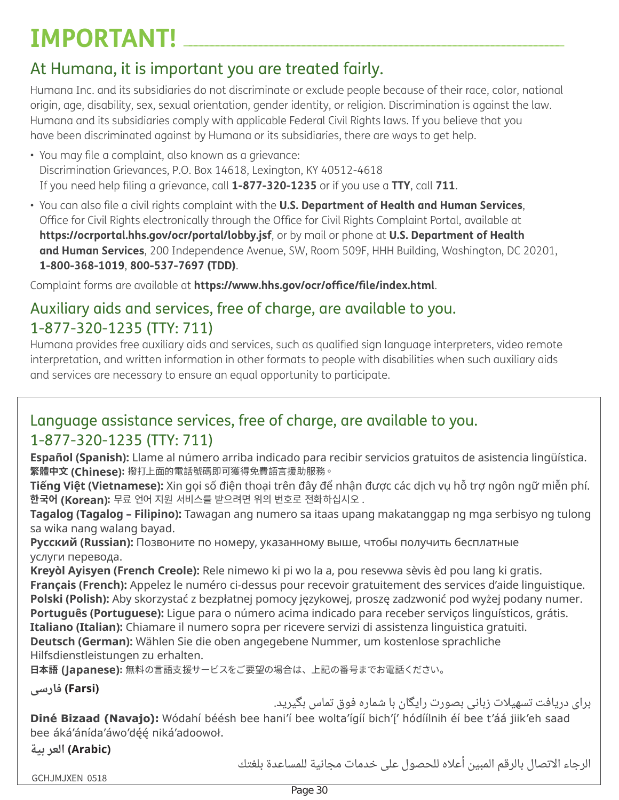# $IMPORTANT!$

# At Humana, it is important you are treated fairly.

Humana Inc. and its subsidiaries do not discriminate or exclude people because of their race, color, national origin, age, disability, sex, sexual orientation, gender identity, or religion. Discrimination is against the law. Humana and its subsidiaries comply with applicable Federal Civil Rights laws. If you believe that you have been discriminated against by Humana or its subsidiaries, there are ways to get help.

- You may file a complaint, also known as a grievance: Discrimination Grievances, P.O. Box 14618, Lexington, KY 40512-4618 If you need help filing a grievance, call **1-877-320-1235** or if you use a **TTY**, call **711**.
- You can also file a civil rights complaint with the **U.S. Department of Health and Human Services**, Office for Civil Rights electronically through the Office for Civil Rights Complaint Portal, available at **https://ocrportal.hhs.gov/ocr/portal/lobby.jsf**, or by mail or phone at **U.S. Department of Health and Human Services**, 200 Independence Avenue, SW, Room 509F, HHH Building, Washington, DC 20201, **1-800-368-1019**, **800-537-7697 (TDD)**.

Complaint forms are available at **https://www.hhs.gov/ocr/office/file/index.html**.

### Auxiliary aids and services, free of charge, are available to you. 1-877-320-1235 (TTY: 711)

Humana provides free auxiliary aids and services, such as qualified sign language interpreters, video remote interpretation, and written information in other formats to people with disabilities when such auxiliary aids and services are necessary to ensure an equal opportunity to participate.

## Language assistance services, free of charge, are available to you. 1-877-320-1235 (TTY: 711)

**Español (Spanish):** Llame al número arriba indicado para recibir servicios gratuitos de asistencia lingüística. 繁體中文 (Chinese): 撥打上面的電話號碼即可獲得免費語言援助服務。

**Tiếng Việt (Vietnamese):** Xin gọi số điện thoại trên đây để nhận được các dịch vụ hỗ trợ ngôn ngữ miễn phí. 한국어 (Korean): 무료 언어 지원 서비스를 받으려면 위의 번호로 전화하십시오.

Tagalog (Tagalog - Filipino): Tawagan ang numero sa itaas upang makatanggap ng mga serbisyo ng tulong sa wika nang walang bayad.

**Русский (Russian):** Позвоните по номеру, указанному выше, чтобы получить бесплатные услуги перевода.

Kreyòl Ayisyen (French Creole): Rele nimewo ki pi wo la a, pou resevwa sèvis èd pou lang ki gratis. **Français (French):** Appelez le numéro ci-dessus pour recevoir gratuitement des services d'aide linguistique. Polski (Polish): Aby skorzystać z bezpłatnej pomocy językowej, proszę zadzwonić pod wyżej podany numer. Português (Portuguese): Ligue para o número acima indicado para receber serviços linguísticos, grátis. Italiano (Italian): Chiamare il numero sopra per ricevere servizi di assistenza linguistica gratuiti. Deutsch (German): Wählen Sie die oben angegebene Nummer, um kostenlose sprachliche Hilfsdienstleistungen zu erhalten.

日本語 (Japanese): 無料の言語支援サービスをご要望の場合は、上記の番号までお電話ください。

**(Farsi) فارسی** 

برای دریافت تسهیلات زبانی بصورت رایگان با شماره فوق تماس بگیرید.

Diné Bizaad (Navajo): Wódahí béésh bee hani'í bee wolta'ígíí bich'i' hódíílnih éí bee t'áá jiik'eh saad bee áká'ánída'áwo'déé niká'adoowoł.

**ƵǺƳLJǝǫ' \$UDELF**

الرجاء الاتصال بالرقم المبين أعلاه للحصول على خدمات مجانية للمساعدة بلغتك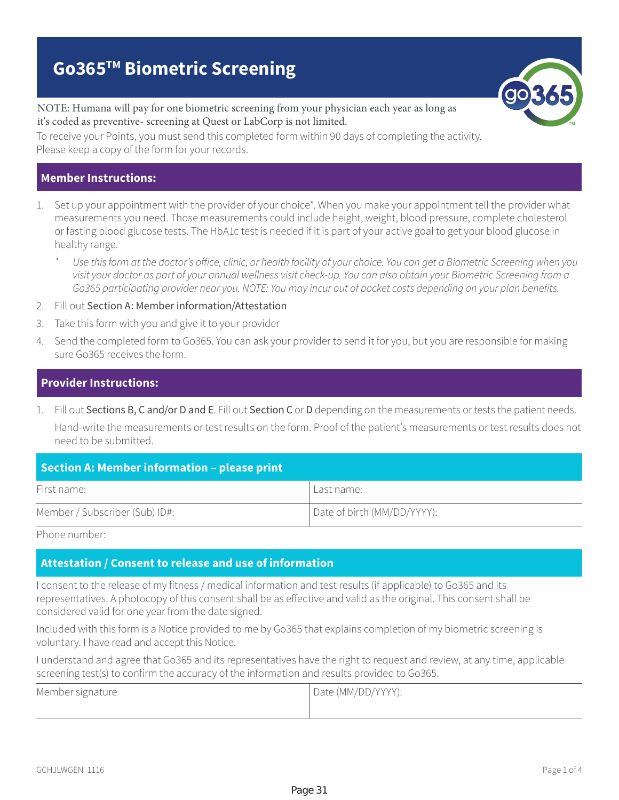# **Go365TM Biometric Screening**

NOTE: Humana will pay for one biometric screening from your physician each year as long as it's coded as preventive- screening at Quest or LabCorp is not limited.

To receive your Points, you must send this completed form within 90 days of completing the activity. Please keep a copy of the form for your records.

### **Member Instructions:**

- 1. Set up your appointment with the provider of your choice\*. When you make your appointment tell the provider what measurements you need. Those measurements could include height, weight, blood pressure, complete cholesterol or fasting blood glucose tests. The HbA1c test is needed if it is part of your active goal to get your blood glucose in healthy range.
	- Use this form at the doctor's office, clinic, or health facility of your choice. You can get a Biometric Screening when you visit your doctor as part of your annual wellness visit check-up. You can also obtain your Biometric Screening from a Go365 participating provider near you. NOTE: You may incur out of pocket costs depending on your plan benefits.
- 2. Fill out Section A: Member information/Attestation
- 3. Take this form with you and give it to your provider
- 4. Send the completed form to Go365. You can ask your provider to send it for you, but you are responsible for making sure Go365 receives the form.

### **Provider Instructions:**

1. Fill out Sections B, C and/or D and E. Fill out Section C or D depending on the measurements or tests the patient needs. Hand-write the measurements or test results on the form. Proof of the patient's measurements or test results does not need to be submitted.

| Section A: Member information - please print |                             |  |
|----------------------------------------------|-----------------------------|--|
| First name:                                  | Last name:                  |  |
| Member / Subscriber (Sub) ID#:               | Date of birth (MM/DD/YYYY): |  |

Phone number:

### **Attestation / Consent to release and use of information**

I consent to the release of my fitness / medical information and test results (if applicable) to Go365 and its representatives. A photocopy of this consent shall be as effective and valid as the original. This consent shall be considered valid for one year from the date signed.

Included with this form is a Notice provided to me by Go365 that explains completion of my biometric screening is voluntary. I have read and accept this Notice.

I understand and agree that Go365 and its representatives have the right to request and review, at any time, applicable screening test(s) to confirm the accuracy of the information and results provided to Go365.

| Member signature | Date (MM/DD/YYYY): |
|------------------|--------------------|
|                  |                    |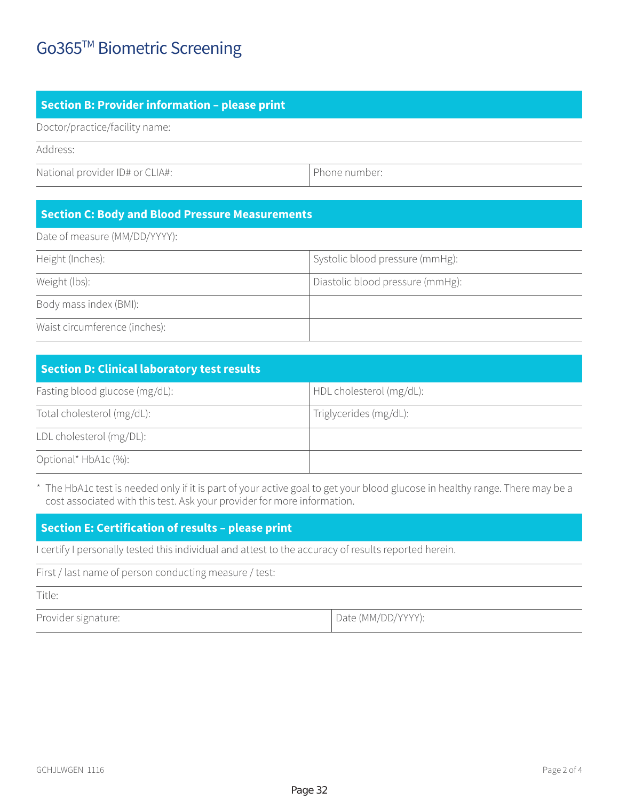## Go365™ Biometric Screening

### **Section B: Provider information – please print**

Doctor/practice/facility name:

Address:

National provider ID# or CLIA#: Phone number:

### **Section C: Body and Blood Pressure Measurements**

Date of measure (MM/DD/YYYY):

| Height (Inches):              | Systolic blood pressure (mmHg):  |
|-------------------------------|----------------------------------|
| Weight (lbs):                 | Diastolic blood pressure (mmHg): |
| Body mass index (BMI):        |                                  |
| Waist circumference (inches): |                                  |

| <b>Section D: Clinical laboratory test results</b> |                          |  |
|----------------------------------------------------|--------------------------|--|
| Fasting blood glucose (mg/dL):                     | HDL cholesterol (mg/dL): |  |
| Total cholesterol (mg/dL):                         | Triglycerides (mg/dL):   |  |
| LDL cholesterol (mg/DL):                           |                          |  |
| Optional* HbA1c (%):                               |                          |  |

\* The HbA1c test is needed only if it is part of your active goal to get your blood glucose in healthy range. There may be a cost associated with this test. Ask your provider for more information.

### **Section E: Certification of results – please print**

I certify I personally tested this individual and attest to the accuracy of results reported herein.

First / last name of person conducting measure / test:

Title:

Provider signature:  $\Box$  Date (MM/DD/YYYY):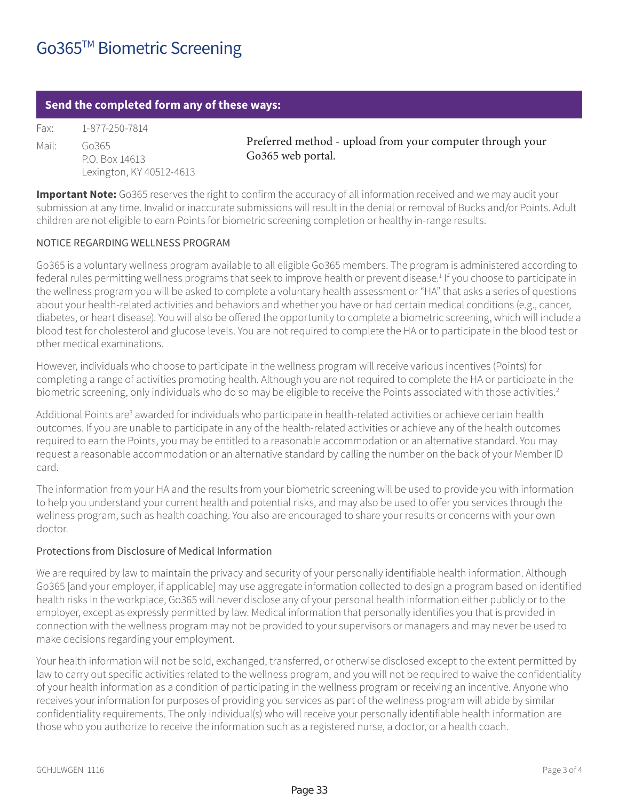### **Send the completed form any of these ways:**

Fax: 1-877-250-7814 Mail: Go365 P.O. Box 14613

Preferred method - upload from your computer through your Go365 web portal.

**Important Note:** Go365 reserves the right to confirm the accuracy of all information received and we may audit your submission at any time. Invalid or inaccurate submissions will result in the denial or removal of Bucks and/or Points. Adult children are not eligible to earn Points for biometric screening completion or healthy in-range results.

### NOTICE REGARDING WELLNESS PROGRAM

Lexington, KY 40512-4613

Go365 is a voluntary wellness program available to all eligible Go365 members. The program is administered according to federal rules permitting wellness programs that seek to improve health or prevent disease.<sup>1</sup> If you choose to participate in the wellness program you will be asked to complete a voluntary health assessment or "HA" that asks a series of questions about your health-related activities and behaviors and whether you have or had certain medical conditions (e.g., cancer, diabetes, or heart disease). You will also be offered the opportunity to complete a biometric screening, which will include a blood test for cholesterol and glucose levels. You are not required to complete the HA or to participate in the blood test or other medical examinations.

However, individuals who choose to participate in the wellness program will receive various incentives (Points) for completing a range of activities promoting health. Although you are not required to complete the HA or participate in the biometric screening, only individuals who do so may be eligible to receive the Points associated with those activities.<sup>2</sup>

Additional Points are<sup>3</sup> awarded for individuals who participate in health-related activities or achieve certain health outcomes. If you are unable to participate in any of the health-related activities or achieve any of the health outcomes required to earn the Points, you may be entitled to a reasonable accommodation or an alternative standard. You may request a reasonable accommodation or an alternative standard by calling the number on the back of your Member ID card.

The information from your HA and the results from your biometric screening will be used to provide you with information to help you understand your current health and potential risks, and may also be used to offer you services through the wellness program, such as health coaching. You also are encouraged to share your results or concerns with your own doctor.

### Protections from Disclosure of Medical Information

We are required by law to maintain the privacy and security of your personally identifiable health information. Although Go365 [and your employer, if applicable] may use aggregate information collected to design a program based on identified health risks in the workplace, Go365 will never disclose any of your personal health information either publicly or to the employer, except as expressly permitted by law. Medical information that personally identifies you that is provided in connection with the wellness program may not be provided to your supervisors or managers and may never be used to make decisions regarding your employment.

Your health information will not be sold, exchanged, transferred, or otherwise disclosed except to the extent permitted by law to carry out specific activities related to the wellness program, and you will not be required to waive the confidentiality of your health information as a condition of participating in the wellness program or receiving an incentive. Anyone who receives your information for purposes of providing you services as part of the wellness program will abide by similar confidentiality requirements. The only individual(s) who will receive your personally identifiable health information are those who you authorize to receive the information such as a registered nurse, a doctor, or a health coach.